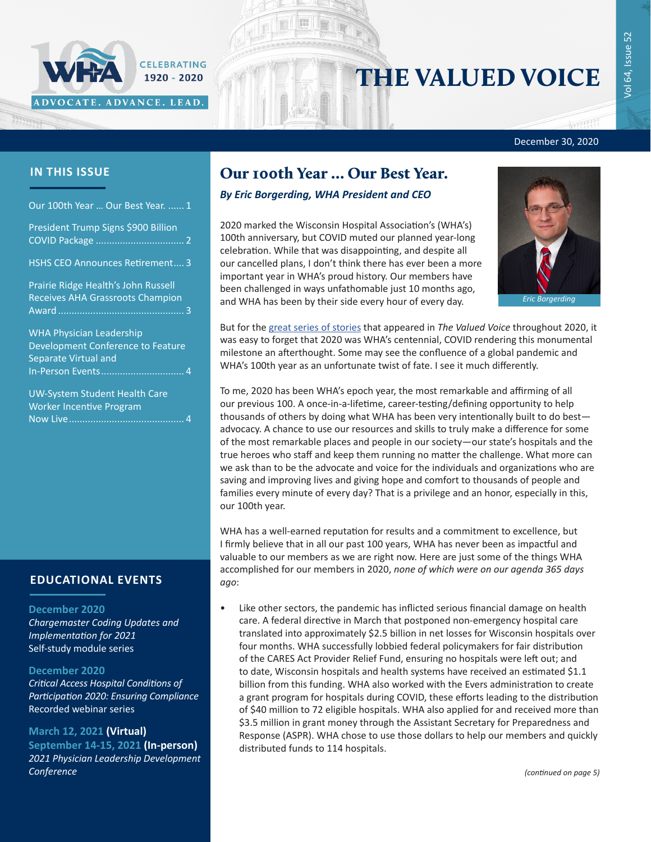

# THE VALUED VOICE

December 30, 2020

### **IN THIS ISSUE**

Our 100th Year … Our Best Year. ...... 1

[President Trump Signs \\$900 Billion](#page-1-0)  COVID Package [.................................](#page-1-0) 2

[HSHS CEO Announces Retirement](#page-2-0).... 3

[Prairie Ridge Health's John Russell](#page-2-0)  [Receives AHA Grassroots Champion](#page-2-0)  Award [...............................................](#page-2-0) 3

[WHA Physician Leadership](#page-3-0)  [Development Conference to Feature](#page-3-0)  [Separate Virtual and](#page-3-0)  [In-Person Events...............................](#page-3-0) 4

[UW-System Student Health Care](#page-3-0)  [Worker Incentive Program](#page-3-0)  [Now Live...........................................](#page-3-0) 4

### **EDUCATIONAL EVENTS**

#### **December 2020**

*[Chargemaster Coding Updates and](https://www.wha.org/Chargemaster2020)  [Implementation for 2021](https://www.wha.org/Chargemaster2020)* Self-study module series

#### **December 2020**

*[Critical Access Hospital Conditions of](https://www.wha.org/Critical-Access-Hospital-CoP)  [Participation 2020: Ensuring Compliance](https://www.wha.org/Critical-Access-Hospital-CoP)* Recorded webinar series

#### **March 12, 2021 (Virtual)**

**September 14-15, 2021 (In-person)** *[2021 Physician Leadership Development](https://www.wha.org/AboutWHA/CalendarofEvents/Conference/PLDC-2021)  [Conference](https://www.wha.org/AboutWHA/CalendarofEvents/Conference/PLDC-2021)*

### Our 100th Year … Our Best Year.

### *By Eric Borgerding, WHA President and CEO*

2020 marked the Wisconsin Hospital Association's (WHA's) 100th anniversary, but COVID muted our planned year-long celebration. While that was disappointing, and despite all our cancelled plans, I don't think there has ever been a more important year in WHA's proud history. Our members have been challenged in ways unfathomable just 10 months ago, and WHA has been by their side every hour of every day.



*Eric Borgerding*

But for the [great series of stories](https://www.wha.org/100th-Anniversary) that appeared in *The Valued Voice* throughout 2020, it was easy to forget that 2020 was WHA's centennial, COVID rendering this monumental milestone an afterthought. Some may see the confluence of a global pandemic and WHA's 100th year as an unfortunate twist of fate. I see it much differently.

To me, 2020 has been WHA's epoch year, the most remarkable and affirming of all our previous 100. A once-in-a-lifetime, career-testing/defining opportunity to help thousands of others by doing what WHA has been very intentionally built to do best advocacy. A chance to use our resources and skills to truly make a difference for some of the most remarkable places and people in our society—our state's hospitals and the true heroes who staff and keep them running no matter the challenge. What more can we ask than to be the advocate and voice for the individuals and organizations who are saving and improving lives and giving hope and comfort to thousands of people and families every minute of every day? That is a privilege and an honor, especially in this, our 100th year.

WHA has a well-earned reputation for results and a commitment to excellence, but I firmly believe that in all our past 100 years, WHA has never been as impactful and valuable to our members as we are right now. Here are just some of the things WHA accomplished for our members in 2020, *none of which were on our agenda 365 days ago*:

• Like other sectors, the pandemic has inflicted serious financial damage on health care. A federal directive in March that postponed non-emergency hospital care translated into approximately \$2.5 billion in net losses for Wisconsin hospitals over four months. WHA successfully lobbied federal policymakers for fair distribution of the CARES Act Provider Relief Fund, ensuring no hospitals were left out; and to date, Wisconsin hospitals and health systems have received an estimated \$1.1 billion from this funding. WHA also worked with the Evers administration to create a grant program for hospitals during COVID, these efforts leading to the distribution of \$40 million to 72 eligible hospitals. WHA also applied for and received more than \$3.5 million in grant money through the Assistant Secretary for Preparedness and Response (ASPR). WHA chose to use those dollars to help our members and quickly distributed funds to 114 hospitals.

*(continued on page 5)*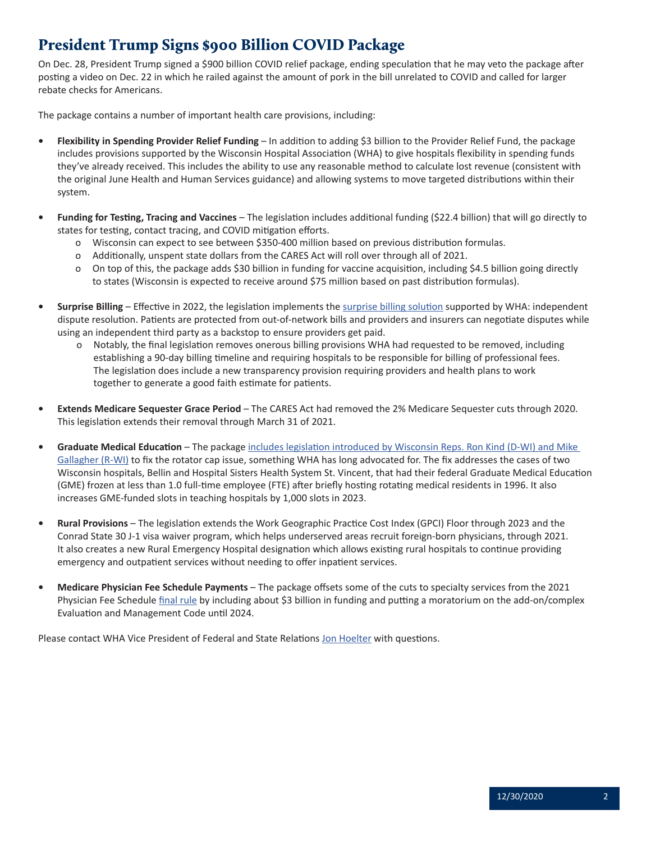# <span id="page-1-0"></span>President Trump Signs \$900 Billion COVID Package

On Dec. 28, President Trump signed a \$900 billion COVID relief package, ending speculation that he may veto the package after posting a video on Dec. 22 in which he railed against the amount of pork in the bill unrelated to COVID and called for larger rebate checks for Americans.

The package contains a number of important health care provisions, including:

- **• Flexibility in Spending Provider Relief Funding** In addition to adding \$3 billion to the Provider Relief Fund, the package includes provisions supported by the Wisconsin Hospital Association (WHA) to give hospitals flexibility in spending funds they've already received. This includes the ability to use any reasonable method to calculate lost revenue (consistent with the original June Health and Human Services guidance) and allowing systems to move targeted distributions within their system.
- **• Funding for Testing, Tracing and Vaccines** The legislation includes additional funding (\$22.4 billion) that will go directly to states for testing, contact tracing, and COVID mitigation efforts.
	- o Wisconsin can expect to see between \$350-400 million based on previous distribution formulas.
	- o Additionally, unspent state dollars from the CARES Act will roll over through all of 2021.
	- o On top of this, the package adds \$30 billion in funding for vaccine acquisition, including \$4.5 billion going directly to states (Wisconsin is expected to receive around \$75 million based on past distribution formulas).
- **• Surprise Billing** Effective in 2022, the legislation implements the [surprise billing solution](https://www.wha.org/MediaRoom/WHANewsletter/2020/12-17-2020/Surprise-Billing-Resolution-in-Sight-as-Congress-I) supported by WHA: independent dispute resolution. Patients are protected from out-of-network bills and providers and insurers can negotiate disputes while using an independent third party as a backstop to ensure providers get paid.
	- o Notably, the final legislation removes onerous billing provisions WHA had requested to be removed, including establishing a 90-day billing timeline and requiring hospitals to be responsible for billing of professional fees. The legislation does include a new transparency provision requiring providers and health plans to work together to generate a good faith estimate for patients.
- **• Extends Medicare Sequester Grace Period**  The CARES Act had removed the 2% Medicare Sequester cuts through 2020. This legislation extends their removal through March 31 of 2021.
- **• Graduate Medical Education** The package [includes legislation introduced by Wisconsin Reps. Ron Kind \(D-WI\) and Mike](https://www.wha.org/MediaRoom/WHANewsletter/2019/03-05-2019/Two-Medicare-GME-Bills-Reintroduced-in-Congress)  [Gallagher \(R-WI\)](https://www.wha.org/MediaRoom/WHANewsletter/2019/03-05-2019/Two-Medicare-GME-Bills-Reintroduced-in-Congress) to fix the rotator cap issue, something WHA has long advocated for. The fix addresses the cases of two Wisconsin hospitals, Bellin and Hospital Sisters Health System St. Vincent, that had their federal Graduate Medical Education (GME) frozen at less than 1.0 full-time employee (FTE) after briefly hosting rotating medical residents in 1996. It also increases GME-funded slots in teaching hospitals by 1,000 slots in 2023.
- **• Rural Provisions** The legislation extends the Work Geographic Practice Cost Index (GPCI) Floor through 2023 and the Conrad State 30 J-1 visa waiver program, which helps underserved areas recruit foreign-born physicians, through 2021. It also creates a new Rural Emergency Hospital designation which allows existing rural hospitals to continue providing emergency and outpatient services without needing to offer inpatient services.
- **• Medicare Physician Fee Schedule Payments**  The package offsets some of the cuts to specialty services from the 2021 Physician Fee Schedule *[final rule](https://www.wha.org/MediaRoom/WHANewsletter/2020/12-10-2020/CMS-Releases-Final-Physician-Fee-Schedule-Rule-for)* by including about \$3 billion in funding and putting a moratorium on the add-on/complex Evaluation and Management Code until 2024.

Please contact WHA Vice President of Federal and State Relations [Jon Hoelter](mailto:jhoelter%40wha.org?subject=) with questions.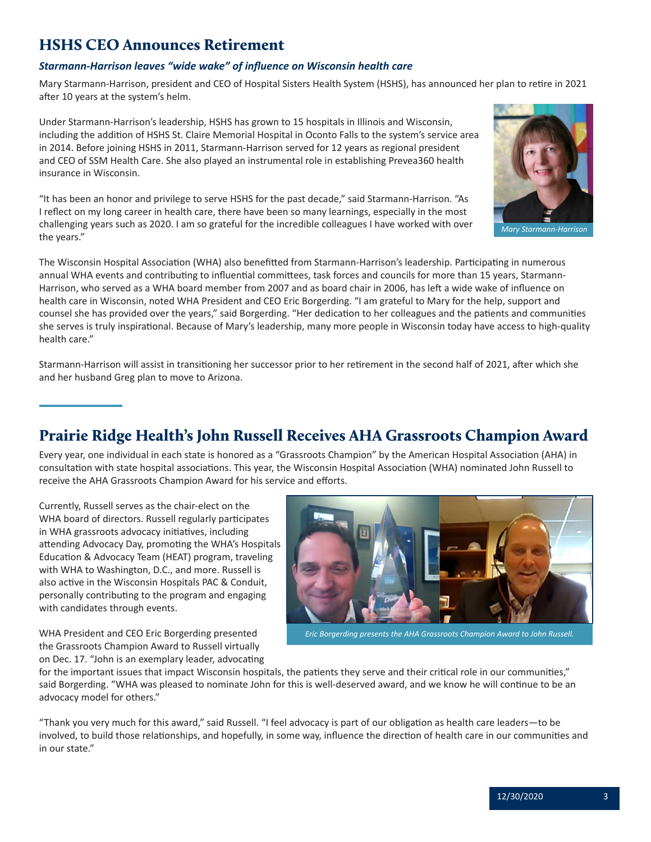### <span id="page-2-0"></span>HSHS CEO Announces Retirement

### *Starmann-Harrison leaves "wide wake" of influence on Wisconsin health care*

Mary Starmann-Harrison, president and CEO of Hospital Sisters Health System (HSHS), has announced her plan to retire in 2021 after 10 years at the system's helm.

Under Starmann-Harrison's leadership, HSHS has grown to 15 hospitals in Illinois and Wisconsin, including the addition of HSHS St. Claire Memorial Hospital in Oconto Falls to the system's service area in 2014. Before joining HSHS in 2011, Starmann-Harrison served for 12 years as regional president and CEO of SSM Health Care. She also played an instrumental role in establishing Prevea360 health insurance in Wisconsin.

"It has been an honor and privilege to serve HSHS for the past decade," said Starmann-Harrison. "As I reflect on my long career in health care, there have been so many learnings, especially in the most challenging years such as 2020. I am so grateful for the incredible colleagues I have worked with over the years."

The Wisconsin Hospital Association (WHA) also benefitted from Starmann-Harrison's leadership. Participating in numerous annual WHA events and contributing to influential committees, task forces and councils for more than 15 years, Starmann-Harrison, who served as a WHA board member from 2007 and as board chair in 2006, has left a wide wake of influence on health care in Wisconsin, noted WHA President and CEO Eric Borgerding. "I am grateful to Mary for the help, support and counsel she has provided over the years," said Borgerding. "Her dedication to her colleagues and the patients and communities she serves is truly inspirational. Because of Mary's leadership, many more people in Wisconsin today have access to high-quality health care."

Starmann-Harrison will assist in transitioning her successor prior to her retirement in the second half of 2021, after which she and her husband Greg plan to move to Arizona.

### Prairie Ridge Health's John Russell Receives AHA Grassroots Champion Award

Every year, one individual in each state is honored as a "Grassroots Champion" by the American Hospital Association (AHA) in consultation with state hospital associations. This year, the Wisconsin Hospital Association (WHA) nominated John Russell to receive the AHA Grassroots Champion Award for his service and efforts.

Currently, Russell serves as the chair-elect on the WHA board of directors. Russell regularly participates in WHA grassroots advocacy initiatives, including attending Advocacy Day, promoting the WHA's Hospitals Education & Advocacy Team (HEAT) program, traveling with WHA to Washington, D.C., and more. Russell is also active in the Wisconsin Hospitals PAC & Conduit, personally contributing to the program and engaging with candidates through events.

WHA President and CEO Eric Borgerding presented the Grassroots Champion Award to Russell virtually on Dec. 17. "John is an exemplary leader, advocating



*Eric Borgerding presents the AHA Grassroots Champion Award to John Russell.*

for the important issues that impact Wisconsin hospitals, the patients they serve and their critical role in our communities," said Borgerding. "WHA was pleased to nominate John for this is well-deserved award, and we know he will continue to be an advocacy model for others."

"Thank you very much for this award," said Russell. "I feel advocacy is part of our obligation as health care leaders—to be involved, to build those relationships, and hopefully, in some way, influence the direction of health care in our communities and in our state."



 *Mary Starmann-Harrison*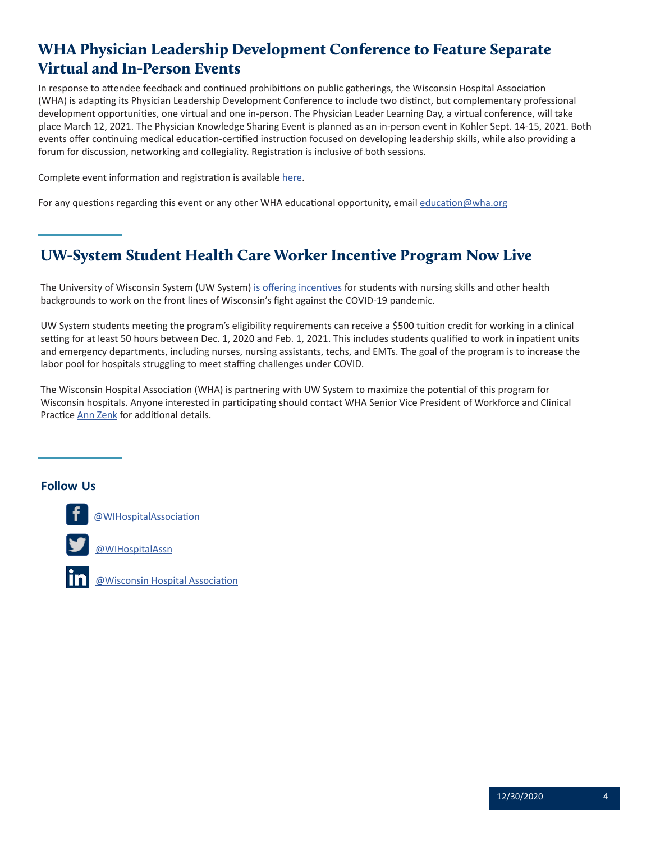# <span id="page-3-0"></span>WHA Physician Leadership Development Conference to Feature Separate Virtual and In-Person Events

In response to attendee feedback and continued prohibitions on public gatherings, the Wisconsin Hospital Association (WHA) is adapting its Physician Leadership Development Conference to include two distinct, but complementary professional development opportunities, one virtual and one in-person. The Physician Leader Learning Day, a virtual conference, will take place March 12, 2021. The Physician Knowledge Sharing Event is planned as an in-person event in Kohler Sept. 14-15, 2021. Both events offer continuing medical education-certified instruction focused on developing leadership skills, while also providing a forum for discussion, networking and collegiality. Registration is inclusive of both sessions.

Complete event information and registration is available [here](https://www.wha.org/PLDC-2021).

For any questions regarding this event or any other WHA educational opportunity, email [education@wha.org](mailto:education@wha.org)

# UW-System Student Health Care Worker Incentive Program Now Live

The University of Wisconsin System (UW System) [is offering incentives](https://www.wisconsin.edu/news/archive/uw-system-announces-more-details-on-covid-19-student-health-care-worker-initiative/) for students with nursing skills and other health backgrounds to work on the front lines of Wisconsin's fight against the COVID-19 pandemic.

UW System students meeting the program's eligibility requirements can receive a \$500 tuition credit for working in a clinical setting for at least 50 hours between Dec. 1, 2020 and Feb. 1, 2021. This includes students qualified to work in inpatient units and emergency departments, including nurses, nursing assistants, techs, and EMTs. The goal of the program is to increase the labor pool for hospitals struggling to meet staffing challenges under COVID.

The Wisconsin Hospital Association (WHA) is partnering with UW System to maximize the potential of this program for Wisconsin hospitals. Anyone interested in participating should contact WHA Senior Vice President of Workforce and Clinical Practice [Ann Zenk](mailto:azenk%40wha.org?subject=) for additional details.

### **Follow Us Follow Us**

**F[ollow U](https://m.facebook.com/WIHospitalAssociation)s** [@WIHospitalAssociation](https://m.facebook.com/WIHospitalAssociation)



[@Wisconsin Hospital Association](https://www.linkedin.com/company/4566526/admin/)